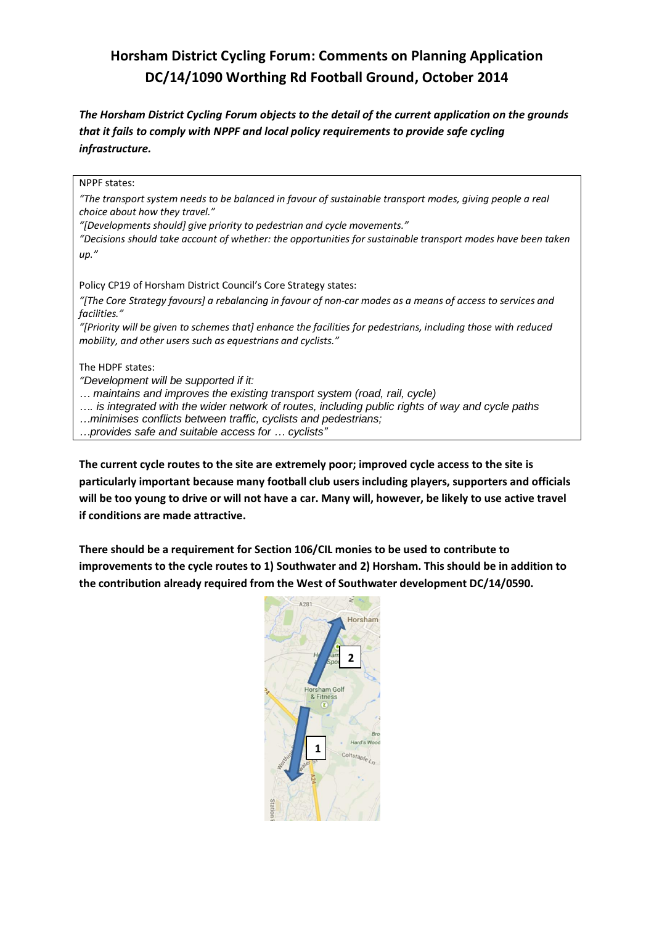# **Horsham District Cycling Forum: Comments on Planning Application DC/14/1090 Worthing Rd Football Ground, October 2014**

*The Horsham District Cycling Forum objects to the detail of the current application on the grounds that it fails to comply with NPPF and local policy requirements to provide safe cycling infrastructure.*

NPPF states: *"The transport system needs to be balanced in favour of sustainable transport modes, giving people a real choice about how they travel." "[Developments should] give priority to pedestrian and cycle movements." "Decisions should take account of whether: the opportunities for sustainable transport modes have been taken up."* Policy CP19 of Horsham District Council's Core Strategy states: *"[The Core Strategy favours] a rebalancing in favour of non-car modes as a means of access to services and facilities." "[Priority will be given to schemes that] enhance the facilities for pedestrians, including those with reduced mobility, and other users such as equestrians and cyclists."*  The HDPF states: *"Development will be supported if it: … maintains and improves the existing transport system (road, rail, cycle) …. is integrated with the wider network of routes, including public rights of way and cycle paths …minimises conflicts between traffic, cyclists and pedestrians; …provides safe and suitable access for … cyclists"*

**The current cycle routes to the site are extremely poor; improved cycle access to the site is particularly important because many football club users including players, supporters and officials will be too young to drive or will not have a car. Many will, however, be likely to use active travel if conditions are made attractive.**

**There should be a requirement for Section 106/CIL monies to be used to contribute to improvements to the cycle routes to 1) Southwater and 2) Horsham. This should be in addition to the contribution already required from the West of Southwater development DC/14/0590.**

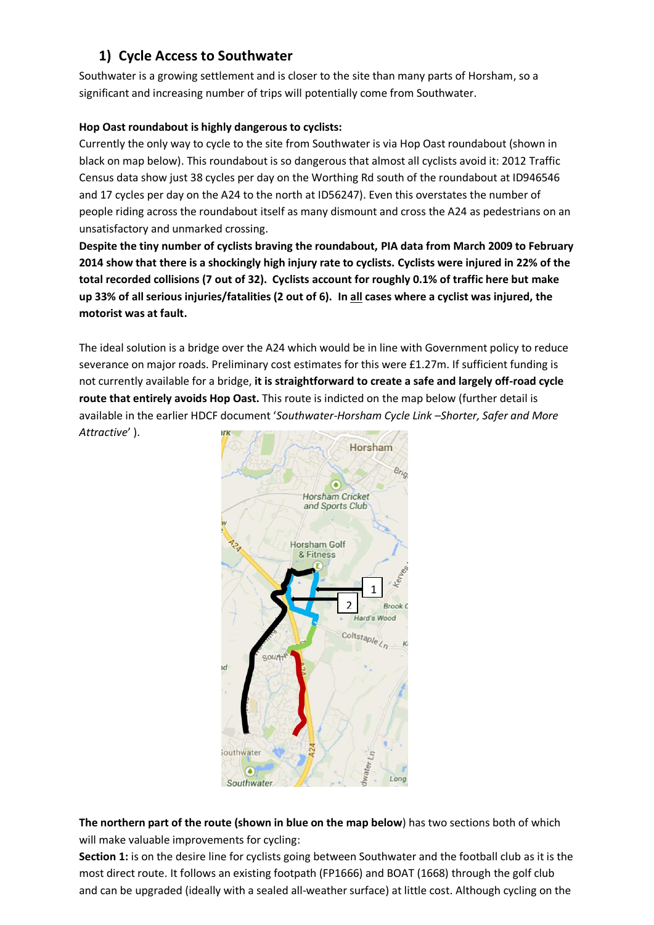## **1) Cycle Access to Southwater**

Southwater is a growing settlement and is closer to the site than many parts of Horsham, so a significant and increasing number of trips will potentially come from Southwater.

## **Hop Oast roundabout is highly dangerous to cyclists:**

Currently the only way to cycle to the site from Southwater is via Hop Oast roundabout (shown in black on map below). This roundabout is so dangerous that almost all cyclists avoid it: 2012 Traffic Census data show just 38 cycles per day on the Worthing Rd south of the roundabout at ID946546 and 17 cycles per day on the A24 to the north at ID56247). Even this overstates the number of people riding across the roundabout itself as many dismount and cross the A24 as pedestrians on an unsatisfactory and unmarked crossing.

**Despite the tiny number of cyclists braving the roundabout, PIA data from March 2009 to February 2014 show that there is a shockingly high injury rate to cyclists. Cyclists were injured in 22% of the total recorded collisions (7 out of 32). Cyclists account for roughly 0.1% of traffic here but make up 33% of all serious injuries/fatalities (2 out of 6). In all cases where a cyclist was injured, the motorist was at fault.**

The ideal solution is a bridge over the A24 which would be in line with Government policy to reduce severance on major roads. Preliminary cost estimates for this were £1.27m. If sufficient funding is not currently available for a bridge, **it is straightforward to create a safe and largely off-road cycle route that entirely avoids Hop Oast.** This route is indicted on the map below (further detail is available in the earlier HDCF document '*Southwater-Horsham Cycle Link –Shorter, Safer and More Attractive*' ).



**The northern part of the route (shown in blue on the map below**) has two sections both of which will make valuable improvements for cycling:

**Section 1:** is on the desire line for cyclists going between Southwater and the football club as it is the most direct route. It follows an existing footpath (FP1666) and BOAT (1668) through the golf club and can be upgraded (ideally with a sealed all-weather surface) at little cost. Although cycling on the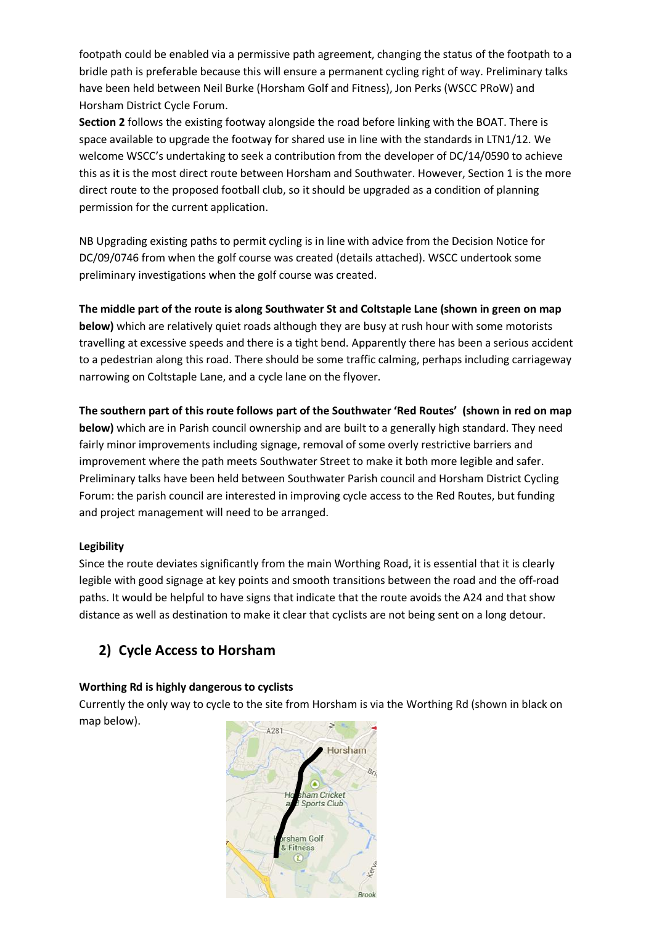footpath could be enabled via a permissive path agreement, changing the status of the footpath to a bridle path is preferable because this will ensure a permanent cycling right of way. Preliminary talks have been held between Neil Burke (Horsham Golf and Fitness), Jon Perks (WSCC PRoW) and Horsham District Cycle Forum.

**Section 2** follows the existing footway alongside the road before linking with the BOAT. There is space available to upgrade the footway for shared use in line with the standards in LTN1/12. We welcome WSCC's undertaking to seek a contribution from the developer of DC/14/0590 to achieve this as it is the most direct route between Horsham and Southwater. However, Section 1 is the more direct route to the proposed football club, so it should be upgraded as a condition of planning permission for the current application.

NB Upgrading existing paths to permit cycling is in line with advice from the Decision Notice for DC/09/0746 from when the golf course was created (details attached). WSCC undertook some preliminary investigations when the golf course was created.

**The middle part of the route is along Southwater St and Coltstaple Lane (shown in green on map below)** which are relatively quiet roads although they are busy at rush hour with some motorists travelling at excessive speeds and there is a tight bend. Apparently there has been a serious accident to a pedestrian along this road. There should be some traffic calming, perhaps including carriageway narrowing on Coltstaple Lane, and a cycle lane on the flyover.

**The southern part of this route follows part of the Southwater 'Red Routes' (shown in red on map below)** which are in Parish council ownership and are built to a generally high standard. They need fairly minor improvements including signage, removal of some overly restrictive barriers and improvement where the path meets Southwater Street to make it both more legible and safer. Preliminary talks have been held between Southwater Parish council and Horsham District Cycling Forum: the parish council are interested in improving cycle access to the Red Routes, but funding and project management will need to be arranged.

## **Legibility**

Since the route deviates significantly from the main Worthing Road, it is essential that it is clearly legible with good signage at key points and smooth transitions between the road and the off-road paths. It would be helpful to have signs that indicate that the route avoids the A24 and that show distance as well as destination to make it clear that cyclists are not being sent on a long detour.

## **2) Cycle Access to Horsham**

## **Worthing Rd is highly dangerous to cyclists**

Currently the only way to cycle to the site from Horsham is via the Worthing Rd (shown in black on map below).

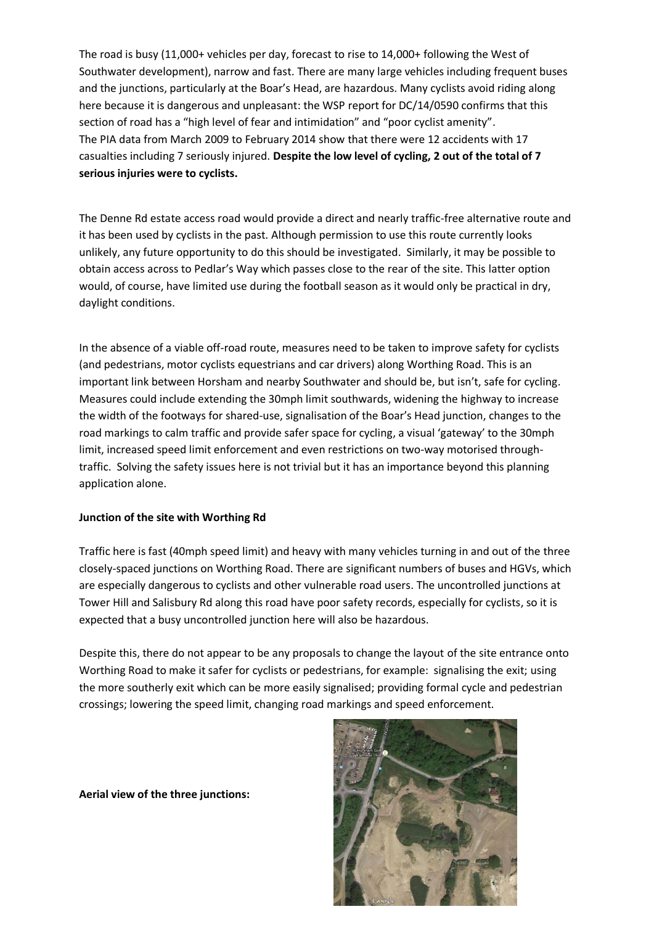The road is busy (11,000+ vehicles per day, forecast to rise to 14,000+ following the West of Southwater development), narrow and fast. There are many large vehicles including frequent buses and the junctions, particularly at the Boar's Head, are hazardous. Many cyclists avoid riding along here because it is dangerous and unpleasant: the WSP report for DC/14/0590 confirms that this section of road has a "high level of fear and intimidation" and "poor cyclist amenity". The PIA data from March 2009 to February 2014 show that there were 12 accidents with 17 casualties including 7 seriously injured. **Despite the low level of cycling, 2 out of the total of 7 serious injuries were to cyclists.**

The Denne Rd estate access road would provide a direct and nearly traffic-free alternative route and it has been used by cyclists in the past. Although permission to use this route currently looks unlikely, any future opportunity to do this should be investigated. Similarly, it may be possible to obtain access across to Pedlar's Way which passes close to the rear of the site. This latter option would, of course, have limited use during the football season as it would only be practical in dry, daylight conditions.

In the absence of a viable off-road route, measures need to be taken to improve safety for cyclists (and pedestrians, motor cyclists equestrians and car drivers) along Worthing Road. This is an important link between Horsham and nearby Southwater and should be, but isn't, safe for cycling. Measures could include extending the 30mph limit southwards, widening the highway to increase the width of the footways for shared-use, signalisation of the Boar's Head junction, changes to the road markings to calm traffic and provide safer space for cycling, a visual 'gateway' to the 30mph limit, increased speed limit enforcement and even restrictions on two-way motorised throughtraffic. Solving the safety issues here is not trivial but it has an importance beyond this planning application alone.

### **Junction of the site with Worthing Rd**

Traffic here is fast (40mph speed limit) and heavy with many vehicles turning in and out of the three closely-spaced junctions on Worthing Road. There are significant numbers of buses and HGVs, which are especially dangerous to cyclists and other vulnerable road users. The uncontrolled junctions at Tower Hill and Salisbury Rd along this road have poor safety records, especially for cyclists, so it is expected that a busy uncontrolled junction here will also be hazardous.

Despite this, there do not appear to be any proposals to change the layout of the site entrance onto Worthing Road to make it safer for cyclists or pedestrians, for example: signalising the exit; using the more southerly exit which can be more easily signalised; providing formal cycle and pedestrian crossings; lowering the speed limit, changing road markings and speed enforcement.

**Aerial view of the three junctions:**

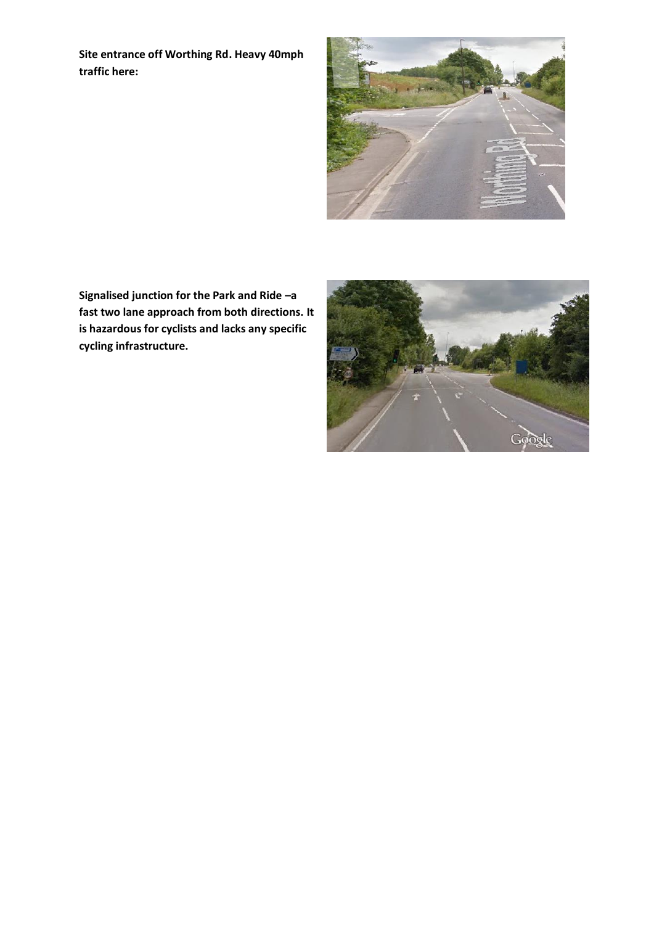**Site entrance off Worthing Rd. Heavy 40mph traffic here:**



**Signalised junction for the Park and Ride –a fast two lane approach from both directions. It is hazardous for cyclists and lacks any specific cycling infrastructure.**

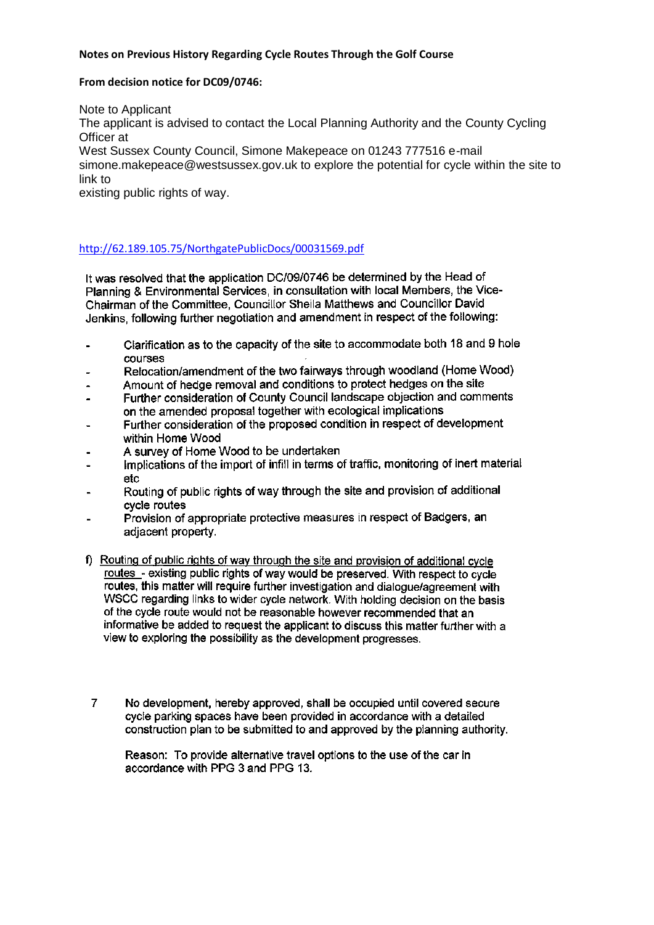### **Notes on Previous History Regarding Cycle Routes Through the Golf Course**

#### **From decision notice for DC09/0746:**

Note to Applicant

The applicant is advised to contact the Local Planning Authority and the County Cycling Officer at

West Sussex County Council, Simone Makepeace on 01243 777516 e-mail simone.makepeace@westsussex.gov.uk to explore the potential for cycle within the site to link to

existing public rights of way.

### <http://62.189.105.75/NorthgatePublicDocs/00031569.pdf>

It was resolved that the application DC/09/0746 be determined by the Head of Planning & Environmental Services, in consultation with local Members, the Vice-Chairman of the Committee, Councillor Sheila Matthews and Councillor David Jenkins, following further negotiation and amendment in respect of the following:

- Clarification as to the capacity of the site to accommodate both 18 and 9 hole courses
- Relocation/amendment of the two fairways through woodland (Home Wood)
- Amount of hedge removal and conditions to protect hedges on the site
- Further consideration of County Council landscape objection and comments on the amended proposal together with ecological implications
- Further consideration of the proposed condition in respect of development within Home Wood
- A survey of Home Wood to be undertaken
- Implications of the import of infill in terms of traffic, monitoring of inert material etc.
- Routing of public rights of way through the site and provision of additional cycle routes
- Provision of appropriate protective measures in respect of Badgers, an adjacent property.
- f) Routing of public rights of way through the site and provision of additional cycle routes - existing public rights of way would be preserved. With respect to cycle routes, this matter will require further investigation and dialogue/agreement with WSCC regarding links to wider cycle network. With holding decision on the basis of the cycle route would not be reasonable however recommended that an informative be added to request the applicant to discuss this matter further with a view to exploring the possibility as the development progresses.
- $\overline{7}$ No development, hereby approved, shall be occupied until covered secure cycle parking spaces have been provided in accordance with a detailed construction plan to be submitted to and approved by the planning authority.

Reason: To provide alternative travel options to the use of the car in accordance with PPG 3 and PPG 13.